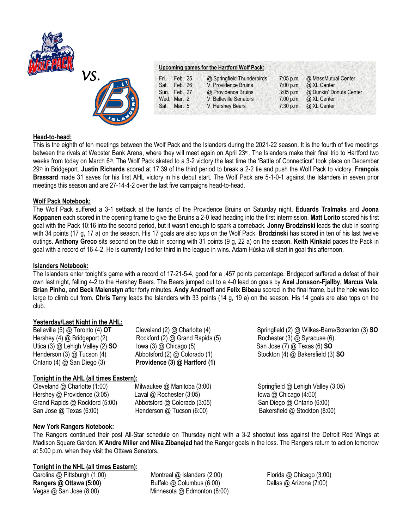



### **Upcoming games for the Hartford Wolf Pack:**

| Fri. | Feb. 25      | @ Springfield Thunderbirds | $7:05$ p.m. | @ MassMutual Center     |
|------|--------------|----------------------------|-------------|-------------------------|
| Sat. | Feb. 26      | V. Providence Bruins       | $7:00$ p.m. | @ XL Center             |
|      | Sun. Feb. 27 | @ Providence Bruins        | $3:05$ p.m. | @ Dunkin' Donuts Center |
|      | Wed. Mar. 2  | V. Belleville Senators     | 7:00 p.m.   | @ XL Center             |
|      | Sat. Mar. 5  | V. Hershey Bears           | 7:30 p.m.   | @ XL Center             |
|      |              |                            |             |                         |

## **Head-to-head:**

This is the eighth of ten meetings between the Wolf Pack and the Islanders during the 2021-22 season. It is the fourth of five meetings between the rivals at Webster Bank Arena, where they will meet again on April 23rd. The Islanders make their final trip to Hartford two weeks from today on March 6th. The Wolf Pack skated to a 3-2 victory the last time the 'Battle of Connecticut' took place on December 29th in Bridgeport. **Justin Richards** scored at 17:39 of the third period to break a 2-2 tie and push the Wolf Pack to victory. **François Brassard** made 31 saves for his first AHL victory in his debut start. The Wolf Pack are 5-1-0-1 against the Islanders in seven prior meetings this season and are 27-14-4-2 over the last five campaigns head-to-head.

## **Wolf Pack Notebook:**

The Wolf Pack suffered a 3-1 setback at the hands of the Providence Bruins on Saturday night. **Eduards Tralmaks** and **Joona Koppanen** each scored in the opening frame to give the Bruins a 2-0 lead heading into the first intermission. **Matt Lorito** scored his first goal with the Pack 10:16 into the second period, but it wasn't enough to spark a comeback. **Jonny Brodzinski** leads the club in scoring with 34 points (17 g, 17 a) on the season. His 17 goals are also tops on the Wolf Pack. **Brodzinski** has scored in ten of his last twelve outings. **Anthony Greco** sits second on the club in scoring with 31 points (9 g, 22 a) on the season. **Keith Kinkaid** paces the Pack in goal with a record of 16-4-2. He is currently tied for third in the league in wins. Adam Húska will start in goal this afternoon.

## **Islanders Notebook:**

The Islanders enter tonight's game with a record of 17-21-5-4, good for a .457 points percentage. Bridgeport suffered a defeat of their own last night, falling 4-2 to the Hershey Bears. The Bears jumped out to a 4-0 lead on goals by **Axel Jonsson-Fjallby, Marcus Vela, Brian Pinho,** and **Beck Malenstyn** after forty minutes. **Andy Andreoff** and **Felix Bibeau** scored in the final frame, but the hole was too large to climb out from. **Chris Terry** leads the Islanders with 33 points (14 g, 19 a) on the season. His 14 goals are also tops on the club.

## **Yesterday/Last Night in the AHL:**

Ontario (4) @ San Diego (3) **Providence (3) @ Hartford (1)** 

Hershey (4) @ Bridgeport (2) Rockford (2) @ Grand Rapids (5) Rochester (3) @ Syracuse (6) Utica (3) @ Lehigh Valley (2) **SO** Iowa (3) @ Chicago (5) San Jose (7) @ Texas (6) **SO** 

# **Tonight in the AHL (all times Eastern):**

Hershey @ Providence (3:05) Laval @ Rochester (3:05) lowa @ Chicago (4:00)<br>Grand Rapids @ Rockford (5:00) Abbotsford @ Colorado (3:05) San Diego @ Ontario (6:00) Grand Rapids  $@$  Rockford (5:00) Abbotsford  $@$  Colorado (3:05) San Jose @ Texas (6:00) Henderson @ Tucson (6:00) Bakersfield @ Stockton (8:00)

Belleville (5) @ Toronto (4) **OT** Cleveland (2) @ Charlotte (4) Springfield (2) @ Wilkes-Barre/Scranton (3) **SO** Henderson (3) @ Tucson (4) Abbotsford (2) @ Colorado (1) Stockton (4) @ Bakersfield (3) **SO**

Cleveland @ Charlotte (1:00) Milwaukee @ Manitoba (3:00) Springfield @ Lehigh Valley (3:05)

# **New York Rangers Notebook:**

The Rangers continued their post All-Star schedule on Thursday night with a 3-2 shootout loss against the Detroit Red Wings at Madison Square Garden. **K'Andre Miller** and **Mika Zibanejad** had the Ranger goals in the loss. The Rangers return to action tomorrow at 5:00 p.m. when they visit the Ottawa Senators.

## **Tonight in the NHL (all times Eastern):**

Carolina @ Pittsburgh (1:00) Montreal @ Islanders (2:00) Florida @ Chicago (3:00) **Rangers @ Ottawa (5:00)** Buffalo @ Columbus (6:00) Dallas @ Arizona (7:00) Vegas @ San Jose (8:00) Minnesota @ Edmonton (8:00)